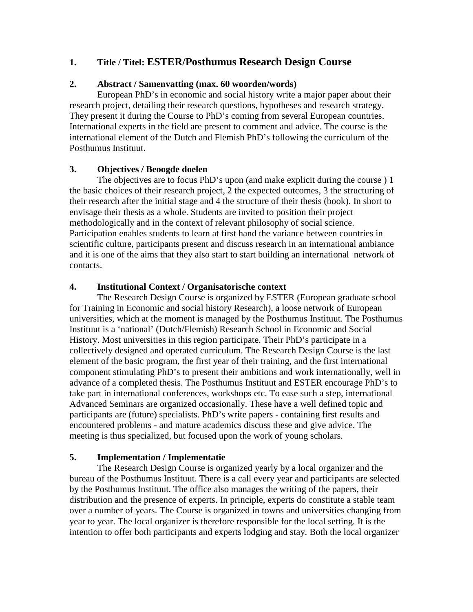## **1. Title / Titel: ESTER/Posthumus Research Design Course**

#### **2. Abstract / Samenvatting (max. 60 woorden/words)**

European PhD's in economic and social history write a major paper about their research project, detailing their research questions, hypotheses and research strategy. They present it during the Course to PhD's coming from several European countries. International experts in the field are present to comment and advice. The course is the international element of the Dutch and Flemish PhD's following the curriculum of the Posthumus Instituut.

#### **3. Objectives / Beoogde doelen**

The objectives are to focus PhD's upon (and make explicit during the course ) 1 the basic choices of their research project, 2 the expected outcomes, 3 the structuring of their research after the initial stage and 4 the structure of their thesis (book). In short to envisage their thesis as a whole. Students are invited to position their project methodologically and in the context of relevant philosophy of social science. Participation enables students to learn at first hand the variance between countries in scientific culture, participants present and discuss research in an international ambiance and it is one of the aims that they also start to start building an international network of contacts.

#### **4. Institutional Context / Organisatorische context**

The Research Design Course is organized by ESTER (European graduate school for Training in Economic and social history Research), a loose network of European universities, which at the moment is managed by the Posthumus Instituut. The Posthumus Instituut is a 'national' (Dutch/Flemish) Research School in Economic and Social History. Most universities in this region participate. Their PhD's participate in a collectively designed and operated curriculum. The Research Design Course is the last element of the basic program, the first year of their training, and the first international component stimulating PhD's to present their ambitions and work internationally, well in advance of a completed thesis. The Posthumus Instituut and ESTER encourage PhD's to take part in international conferences, workshops etc. To ease such a step, international Advanced Seminars are organized occasionally. These have a well defined topic and participants are (future) specialists. PhD's write papers - containing first results and encountered problems - and mature academics discuss these and give advice. The meeting is thus specialized, but focused upon the work of young scholars.

#### **5. Implementation / Implementatie**

The Research Design Course is organized yearly by a local organizer and the bureau of the Posthumus Instituut. There is a call every year and participants are selected by the Posthumus Instituut. The office also manages the writing of the papers, their distribution and the presence of experts. In principle, experts do constitute a stable team over a number of years. The Course is organized in towns and universities changing from year to year. The local organizer is therefore responsible for the local setting. It is the intention to offer both participants and experts lodging and stay. Both the local organizer